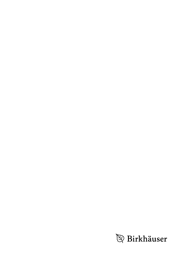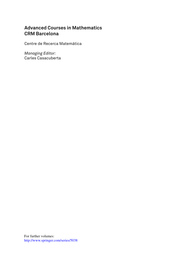#### **Advanced Courses in Mathematics CRM Barcelona**

Centre de Recerca Matemàtica

*Managing Editor:* Carles Casacuberta

For further volumes: http://www.springer.com/series/5038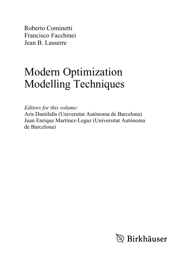Roberto Cominetti Francisco Facchinei Jean B. Lasserre

# Modern Optimization Modelling Techniques

*Editors for this volume*: Aris Daniilidis (Universitat Autònoma de Barcelona) Juan Enrique Martínez-Legaz (Universitat Autònoma de Barcelona)

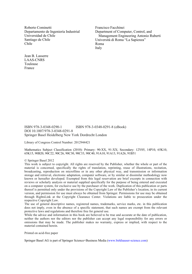Roberto Cominetti Francisco Facchinei Departamento de Ingeniería Industrial Universidad de Chile Santiago de Chile Università di Roma "La Sapienza"<br>Chile Roma Chile Roma

Jean B. Lasserre LAAS-CNRS Toulouse France

Italy Department of Computer, Control, and Management Engineering Antonio Ruberti

ISBN 978-3-0348-0290-1 ISBN 978-3-0348-0291-8 (eBook) DOI 10.1007/978-3-0348-0291-8 Springer Basel Heidelberg New York Dordrecht London

Library of Congress Control Number: 2012944421

Mathematics Subject Classification (2010): Primary: 90-XX, 91-XX; Secondary: 12Y05, 14P10, 65K10, 65K15, 90B20, 90C22, 90C26, 90C30, 90C33, 90C40, 91A10, 91A13, 91A26, 91B51

© Springer Basel 201 2

This work is subject to copyright. All rights are reserved by the Publisher, whether the whole or part of the material is concerned, specifically the rights of translation, reprinting, reuse of illustrations, recitation, broadcasting, reproduction on microfilms or in any other physical way, and transmission or information storage and retrieval, electronic adaptation, computer software, or by similar or dissimilar methodology now known or hereafter developed. Exempted from this legal reservation are brief excerpts in connection with reviews or scholarly analysis or material supplied specifically for the purpose of being entered and executed on a computer system, for exclusive use by the purchaser of the work. Duplication of this publication or parts thereof is permitted only under the provisions of the Copyright Law of the Publisher's location, in its current version, and permission for use must always be obtained from Springer. Permissions for use may be obtained through RightsLink at the Copyright Clearance Center. Violations are liable to prosecution under the respective Copyright Law.

The use of general descriptive names, registered names, trademarks, service marks, etc. in this publication does not imply, even in the absence of a specific statement, that such names are exempt from the relevant protective laws and regulations and therefore free for general use.

While the advice and information in this book are believed to be true and accurate at the date of publication, neither the authors nor the editors nor the publisher can accept any legal responsibility for any errors or omissions that may be made. The publisher makes no warranty, express or implied, with respect to the material contained herein.

Printed on acid-free paper

Springer Basel AG is part of Springer Science+Business Media (www.birkhauser-science.com)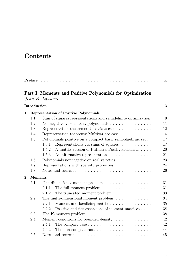## **Contents**

|              |                |                                                                                     | ix     |
|--------------|----------------|-------------------------------------------------------------------------------------|--------|
|              |                | Part I: Moments and Positive Polynomials for Optimization<br>Jean B. Lasserre       |        |
|              |                |                                                                                     | 3      |
| 1            |                | <b>Representation of Positive Polynomials</b>                                       |        |
|              | 1.1            | Sum of squares representations and semidefinite optimization                        | 8      |
|              | 1.2            | Nonnegative versus s.o.s. polynomials $\dots \dots \dots \dots \dots$               | 11     |
|              | 1.3            | Representation theorems: Univariate case                                            | 12     |
|              | 1.4            | Representation theorems: Multivariate case                                          | 14     |
|              | 1.5            | Polynomials positive on a compact basic semi-algebraic set                          | 17     |
|              |                | Representations via sums of squares<br>1.5.1                                        | 17     |
|              |                | A matrix version of Putinar's Positivstellensatz<br>1.5.2                           | 20     |
|              |                | An alternative representation<br>1.5.3                                              | 21     |
|              | 1.6            | Polynomials nonnegative on real varieties                                           | 23     |
|              | 1.7            | Representations with sparsity properties $\ldots \ldots \ldots \ldots$              | 24     |
|              | 1.8            |                                                                                     | 26     |
|              |                |                                                                                     |        |
| $\mathbf{2}$ | <b>Moments</b> |                                                                                     |        |
|              | 2.1            | One-dimensional moment problems                                                     | 31     |
|              |                | 2.1.1<br>The full moment problem $\dots \dots \dots \dots \dots \dots$              | 31     |
|              |                | 2.1.2<br>The truncated moment problem                                               | 33     |
|              | 2.2            | The multi-dimensional moment problem $\ldots \ldots \ldots \ldots$                  | 34     |
|              |                | Moment and localizing matrix<br>2.2.1                                               | $35\,$ |
|              |                | Positive and flat extensions of moment matrices<br>2.2.2                            | 38     |
|              | 2.3            | The K-moment problem $\dots \dots \dots \dots \dots \dots \dots \dots \dots$        | 38     |
|              | 2.4            | Moment conditions for bounded density $\dots \dots \dots \dots$                     | $42\,$ |
|              |                | The compact case $\ldots \ldots \ldots \ldots \ldots \ldots \ldots \ldots$<br>2.4.1 | 42     |
|              |                | The non-compact case $\ldots \ldots \ldots \ldots \ldots \ldots \ldots$<br>2.4.2    | 44     |
|              | 2.5            |                                                                                     | 45     |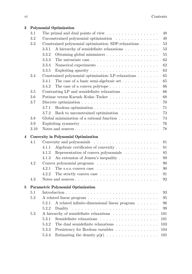| $\bf{3}$        |         | <b>Polynomial Optimization</b>                                                                              |
|-----------------|---------|-------------------------------------------------------------------------------------------------------------|
|                 | 3.1     | 48<br>The primal and dual points of view $\dots \dots \dots \dots \dots \dots$                              |
|                 | 3.2     | 49<br>Unconstrained polynomial optimization $\ldots \ldots \ldots \ldots$                                   |
|                 | 3.3     | 53<br>Constrained polynomial optimization: SDP-relaxations                                                  |
|                 |         | 53<br>A hierarchy of semidefinite relaxations<br>3.3.1                                                      |
|                 |         | 55<br>3.3.2<br>Obtaining global minimizers                                                                  |
|                 |         | 62<br>3.3.3                                                                                                 |
|                 |         | 62<br>3.3.4                                                                                                 |
|                 |         | 63<br>3.3.5                                                                                                 |
|                 | 3.4     | 65<br>Constrained polynomial optimization: LP-relaxations                                                   |
|                 |         | 65<br>The case of a basic semi-algebraic set<br>3.4.1                                                       |
|                 |         | 66<br>3.4.2                                                                                                 |
|                 | 3.5     | 66<br>Contrasting LP and semidefinite relaxations $\ldots \ldots \ldots \ldots \ldots$                      |
|                 | 3.6     | Putinar versus Karush-Kuhn-Tucker<br>68                                                                     |
|                 | 3.7     | 70                                                                                                          |
|                 |         | 71<br>3.7.1                                                                                                 |
|                 |         | 73<br>3.7.2<br>Back to unconstrained optimization                                                           |
|                 | 3.8     | Global minimization of a rational function $\ldots \ldots \ldots \ldots$<br>74                              |
|                 | 3.9     | 76<br>Exploiting symmetry $\dots \dots \dots \dots \dots \dots \dots \dots \dots$                           |
|                 | 3.10    | 78                                                                                                          |
|                 |         |                                                                                                             |
| 4               |         |                                                                                                             |
|                 | 4.1     | <b>Convexity in Polynomial Optimization</b>                                                                 |
|                 |         | 81<br>81<br>4.1.1                                                                                           |
|                 |         | Algebraic certificates of convexity<br>85<br>4.1.2                                                          |
|                 |         | Representation of convex polynomials<br>4.1.3                                                               |
|                 | 4.2     | 89<br>An extension of Jensen's inequality<br>90                                                             |
|                 |         | 4.2.1                                                                                                       |
|                 |         | 90<br>The s.o.s.-convex case $\dots \dots \dots \dots \dots \dots \dots$<br>4.2.2<br>91                     |
|                 | 4.3     | The strictly convex case $\dots \dots \dots \dots \dots \dots \dots$<br>92                                  |
|                 |         |                                                                                                             |
| $5\phantom{.0}$ |         | <b>Parametric Polynomial Optimization</b>                                                                   |
|                 | 5.1     | 93                                                                                                          |
|                 | $5.2\,$ | 95                                                                                                          |
|                 |         | 5.2.1<br>A related infinite-dimensional linear program<br>96                                                |
|                 |         | 5.2.2<br>Duality<br>99                                                                                      |
|                 | 5.3     | A hierarchy of semidefinite relaxations<br>101                                                              |
|                 |         | Semidefinite relaxations<br>5.3.1<br>101<br>.                                                               |
|                 |         | The dual semidefinite relaxations<br>5.3.2<br>103                                                           |
|                 |         | Persistency for Boolean variables<br>5.3.3<br>104<br>Estimating the density $g(\mathbf{y})$<br>5.3.4<br>105 |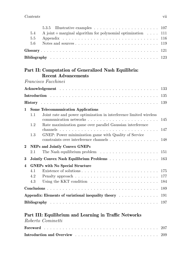|               | 5.3.5 Illustrative examples $\ldots \ldots \ldots \ldots \ldots \ldots \ldots \ldots \ldots 107$ |  |
|---------------|--------------------------------------------------------------------------------------------------|--|
| 5.4           | A joint + marginal algorithm for polynomial optimization $\dots$ 111                             |  |
| $5.5^{\circ}$ |                                                                                                  |  |
|               |                                                                                                  |  |
|               |                                                                                                  |  |
|               |                                                                                                  |  |

### **Part II: Computation of Generalized Nash Equilibria: Recent Advancements**

|              |            | Francisco Facchinei                                                                                                 |     |
|--------------|------------|---------------------------------------------------------------------------------------------------------------------|-----|
|              |            |                                                                                                                     |     |
|              |            |                                                                                                                     |     |
|              |            |                                                                                                                     |     |
| $\mathbf{1}$ |            | <b>Some Telecommunication Applications</b>                                                                          |     |
|              | 1.1        | Joint rate and power optimization in interference limited wireless                                                  |     |
|              | 1.2<br>1.3 | Rate maximization game over parallel Gaussian interference<br>GNEP: Power minimization game with Quality of Service |     |
|              |            | constraints over interference channels 148                                                                          |     |
| $\mathbf{2}$ |            | <b>NEPs and Jointly Convex GNEPs</b>                                                                                |     |
|              | 2.1        | The Nash equilibrium problem $\ldots \ldots \ldots \ldots \ldots \ldots 151$                                        |     |
| 3            |            | Jointly Convex Nash Equilibrium Problems 163                                                                        |     |
| 4            |            | <b>GNEPs with No Special Structure</b>                                                                              |     |
|              | 4.1        | Existence of solutions $\ldots \ldots \ldots \ldots \ldots \ldots \ldots \ldots \ldots 175$                         |     |
|              | 4.2        |                                                                                                                     | 177 |
|              | 4.3        |                                                                                                                     | 184 |
|              |            |                                                                                                                     | 189 |
|              |            | Appendix: Elements of variational inequality theory                                                                 | 191 |
|              |            |                                                                                                                     |     |

#### **Part III: Equilibrium and Learning in Traffic Networks**

Roberto Cominetti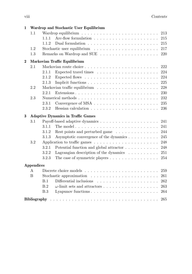| 1            |                     |       | Wardrop and Stochastic User Equilibrium                                              |
|--------------|---------------------|-------|--------------------------------------------------------------------------------------|
|              | 1.1                 |       | 213                                                                                  |
|              |                     | 1.1.1 | 215                                                                                  |
|              |                     | 1.1.2 | 215                                                                                  |
|              | 1.2                 |       | 217<br>Stochastic user equilibrium $\ldots \ldots \ldots \ldots \ldots \ldots$       |
|              | 1.3                 |       | 220                                                                                  |
| $\mathbf{2}$ |                     |       | Markovian Traffic Equilibrium                                                        |
|              | 2.1                 |       | 222                                                                                  |
|              |                     | 2.1.1 | 224                                                                                  |
|              |                     | 2.1.2 | 224                                                                                  |
|              |                     | 2.1.3 | 225                                                                                  |
|              | 2.2                 |       | 228                                                                                  |
|              |                     | 2.2.1 | 230                                                                                  |
|              | 2.3                 |       | 232                                                                                  |
|              |                     | 2.3.1 | 235                                                                                  |
|              |                     | 2.3.2 | Hessian calculation $\ldots \ldots \ldots \ldots \ldots \ldots \ldots \ldots$<br>236 |
| 3            |                     |       | <b>Adaptive Dynamics in Traffic Games</b>                                            |
|              | 3.1                 |       | 241                                                                                  |
|              |                     | 3.1.1 | 241                                                                                  |
|              |                     | 3.1.2 | 244<br>Rest points and perturbed game                                                |
|              |                     | 3.1.3 | 245<br>Asymptotic convergence of the dynamics                                        |
|              | 3.2                 |       | 248                                                                                  |
|              |                     | 3.2.1 | 248<br>Potential function and global attractor                                       |
|              |                     | 3.2.2 | 251<br>Lagrangian description of the dynamics $\ldots \ldots \ldots$                 |
|              |                     | 3.2.3 | The case of symmetric players $\dots \dots \dots \dots \dots \dots$<br>254           |
|              | <b>Appendices</b>   |       |                                                                                      |
|              | A                   |       | 259                                                                                  |
|              | B                   |       | Stochastic approximation $\ldots \ldots \ldots \ldots \ldots \ldots \ldots$<br>261   |
|              |                     | B.1   | 262<br>Differential inclusions $\ldots \ldots \ldots \ldots \ldots \ldots \ldots$    |
|              |                     | B.2   | 263<br>$\omega$ -limit sets and attractors                                           |
|              |                     | B.3   | 264                                                                                  |
|              | <b>Bibliography</b> |       | 265                                                                                  |